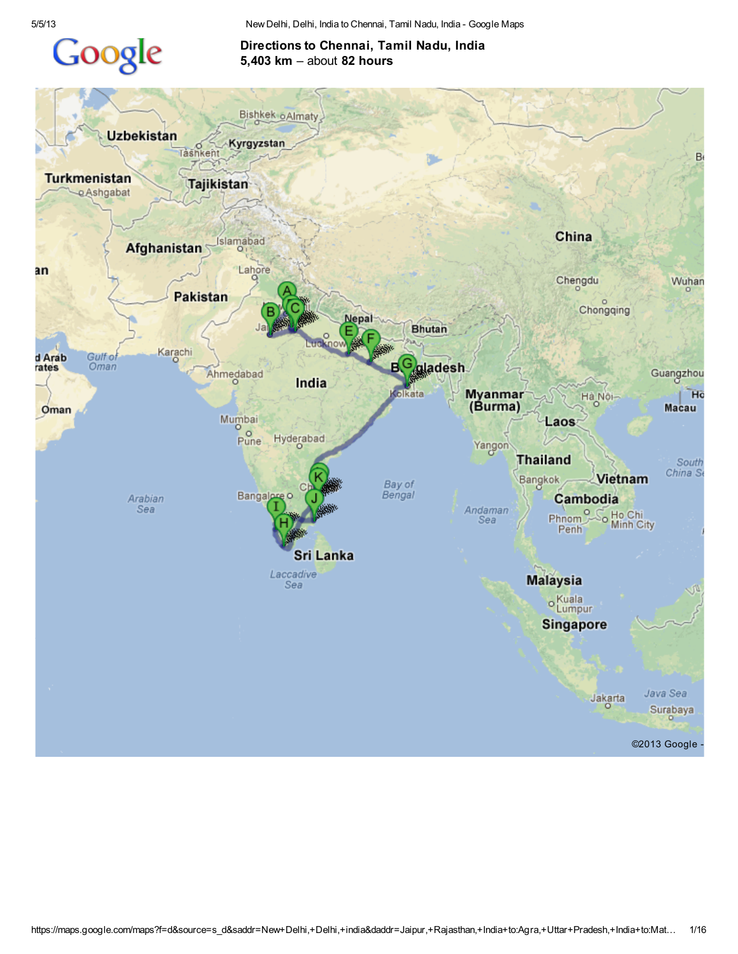## Google

5/5/13 New Delhi, Delhi, India to Chennai, Tamil Nadu, India - Google Maps

## Directions to Chennai, Tamil Nadu, India 5,403 km – about 82 hours

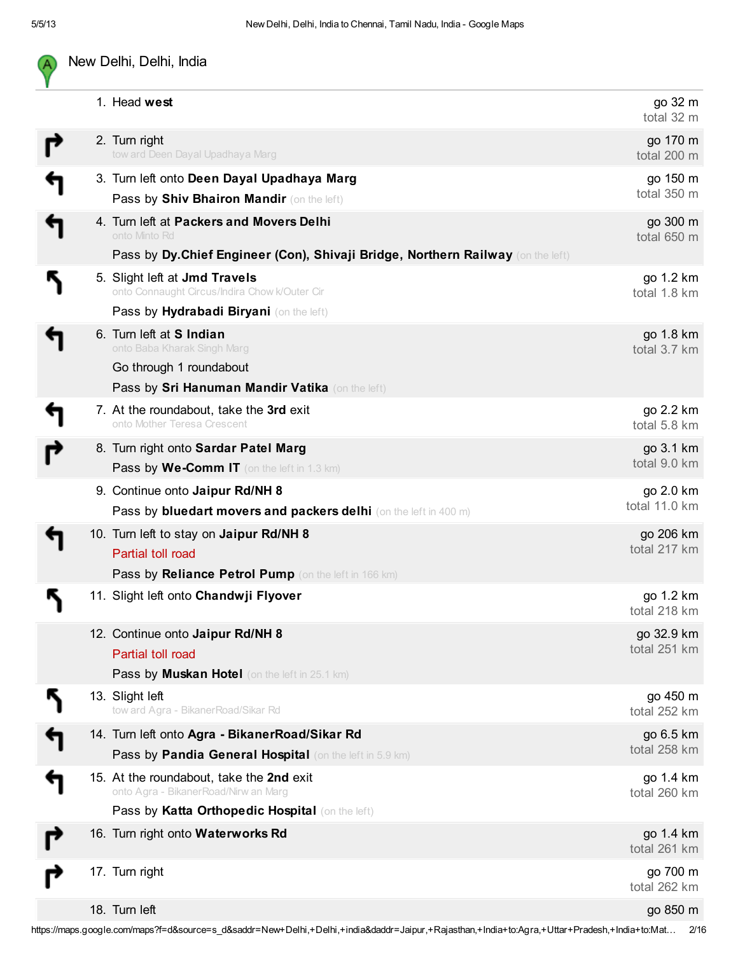А

## New Delhi, Delhi, India

|  | 1. Head west                                                                                                                                                                                                 | go 32 m<br>total 32 m      |
|--|--------------------------------------------------------------------------------------------------------------------------------------------------------------------------------------------------------------|----------------------------|
|  | 2. Turn right<br>tow ard Deen Dayal Upadhaya Marg                                                                                                                                                            | go 170 m<br>total 200 m    |
|  | 3. Turn left onto Deen Dayal Upadhaya Marg<br>Pass by Shiv Bhairon Mandir (on the left)                                                                                                                      | go 150 m<br>total 350 m    |
|  | 4. Turn left at Packers and Movers Delhi<br>onto Minto Rd                                                                                                                                                    | go 300 m<br>total 650 m    |
|  | Pass by Dy.Chief Engineer (Con), Shivaji Bridge, Northern Railway (on the left)<br>5. Slight left at Jmd Travels<br>onto Connaught Circus/Indira Chow k/Outer Cir<br>Pass by Hydrabadi Biryani (on the left) | go 1.2 km<br>total 1.8 km  |
|  | 6. Turn left at <b>S</b> Indian<br>onto Baba Kharak Singh Marg<br>Go through 1 roundabout<br>Pass by Sri Hanuman Mandir Vatika (on the left)                                                                 | go 1.8 km<br>total 3.7 km  |
|  | 7. At the roundabout, take the 3rd exit<br>onto Mother Teresa Crescent                                                                                                                                       | go 2.2 km<br>total 5.8 km  |
|  | 8. Turn right onto Sardar Patel Marg<br>Pass by We-Comm IT (on the left in 1.3 km)                                                                                                                           | go 3.1 km<br>total 9.0 km  |
|  | 9. Continue onto Jaipur Rd/NH 8<br>Pass by bluedart movers and packers delhi (on the left in 400 m)                                                                                                          | go 2.0 km<br>total 11.0 km |
|  | 10. Turn left to stay on Jaipur Rd/NH 8<br>Partial toll road<br>Pass by Reliance Petrol Pump (on the left in 166 km)                                                                                         | go 206 km<br>total 217 km  |
|  | 11. Slight left onto Chandwji Flyover                                                                                                                                                                        | go 1.2 km<br>total 218 km  |
|  | 12. Continue onto Jaipur Rd/NH 8<br>Partial toll road<br>Pass by Muskan Hotel (on the left in 25.1 km)                                                                                                       | go 32.9 km<br>total 251 km |
|  | 13. Slight left<br>tow ard Agra - BikanerRoad/Sikar Rd                                                                                                                                                       | go 450 m<br>total 252 km   |
|  | 14. Turn left onto Agra - BikanerRoad/Sikar Rd<br>Pass by Pandia General Hospital (on the left in 5.9 km)                                                                                                    | go 6.5 km<br>total 258 km  |
|  | 15. At the roundabout, take the 2nd exit<br>onto Agra - BikanerRoad/Nirw an Marg<br>Pass by Katta Orthopedic Hospital (on the left)                                                                          | go 1.4 km<br>total 260 km  |
|  | 16. Turn right onto Waterworks Rd                                                                                                                                                                            | go 1.4 km<br>total 261 km  |
|  | 17. Turn right                                                                                                                                                                                               | go 700 m<br>total 262 km   |
|  | 18. Turn left                                                                                                                                                                                                | go 850 m                   |

https://maps.google.com/maps?f=d&source=s\_d&saddr=New+Delhi,+Delhi,+india&daddr=Jaipur,+Rajasthan,+India+to:Agra,+Uttar+Pradesh,+India+to:Mat… 2/16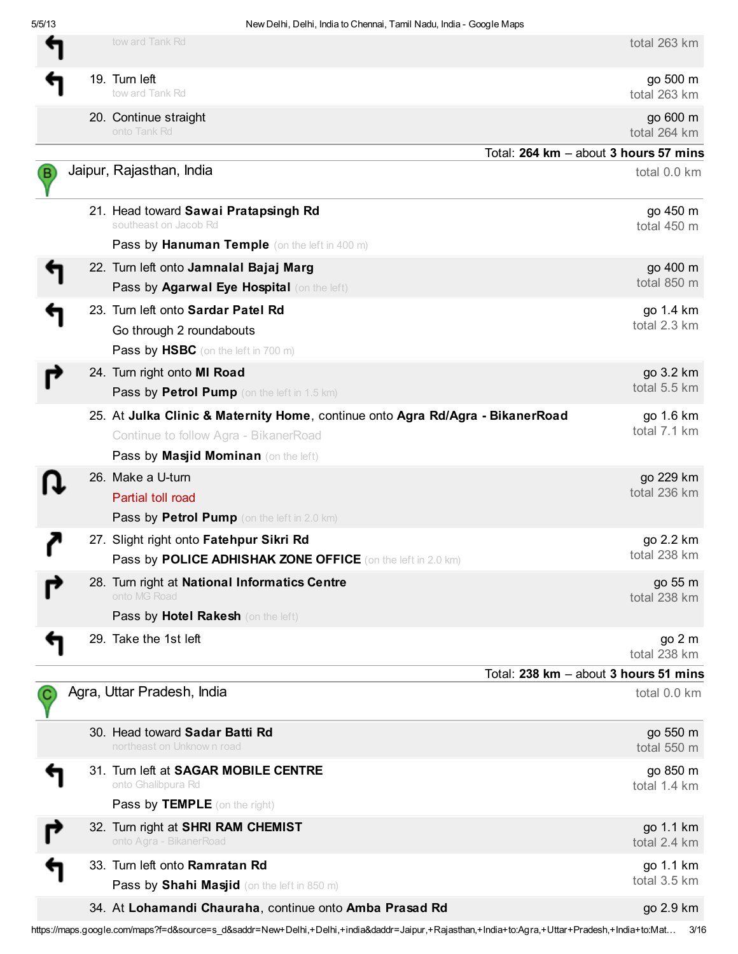Έ

C

↰

| المتتارك والمرجات المعرض برزوية<br>tow ard Tank Rd | total 263 km |
|----------------------------------------------------|--------------|
|----------------------------------------------------|--------------|

| go 500 m     |
|--------------|
| total 263 km |

20. Continue straight

tow ard Tank Rd

19. Turn left

go 600 m km

| onto Tank Rd                                                                   | total 264 km                          |
|--------------------------------------------------------------------------------|---------------------------------------|
|                                                                                | Total: 264 km - about 3 hours 57 mins |
| Jaipur, Rajasthan, India                                                       | total 0.0 km                          |
| 21. Head toward Sawai Pratapsingh Rd<br>southeast on Jacob Rd                  | go 450 m<br>total 450 m               |
| Pass by Hanuman Temple (on the left in 400 m)                                  |                                       |
| 22. Turn left onto Jamnalal Bajaj Marg                                         | go 400 m                              |
| Pass by Agarwal Eye Hospital (on the left)                                     | total 850 m                           |
| 23. Turn left onto Sardar Patel Rd                                             | go 1.4 km                             |
| Go through 2 roundabouts                                                       | total 2.3 km                          |
| <b>Pass by HSBC</b> (on the left in 700 m)                                     |                                       |
| 24. Turn right onto MI Road                                                    | go 3.2 km                             |
| Pass by Petrol Pump (on the left in 1.5 km)                                    | total 5.5 km                          |
| 25. At Julka Clinic & Maternity Home, continue onto Agra Rd/Agra - BikanerRoad | go 1.6 km                             |
| Continue to follow Agra - BikanerRoad                                          | total 7.1 km                          |
| Pass by Masjid Mominan (on the left)                                           |                                       |
| 26. Make a U-turn                                                              | go 229 km<br>total 236 km             |
| Partial toll road                                                              |                                       |
| <b>Pass by Petrol Pump</b> (on the left in 2.0 km)                             |                                       |
| 27. Slight right onto Fatehpur Sikri Rd                                        | go 2.2 km<br>total 238 km             |
| Pass by POLICE ADHISHAK ZONE OFFICE (on the left in 2.0 km)                    |                                       |
| 28. Turn right at National Informatics Centre<br>onto MG Road                  | go 55 m<br>total 238 km               |
| Pass by Hotel Rakesh (on the left)                                             |                                       |
| 29. Take the 1st left                                                          | go 2 m<br>total 238 km                |
|                                                                                | Total: 238 km - about 3 hours 51 mins |
| Agra, Uttar Pradesh, India                                                     | total 0.0 km                          |
| 30. Head toward Sadar Batti Rd<br>northeast on Unknown road                    | go 550 m<br>total 550 m               |
| 31. Turn left at SAGAR MOBILE CENTRE                                           | go 850 m                              |

| onto Ghalibpura Rd                   |  |
|--------------------------------------|--|
| <b>Pass by TEMPLE</b> (on the right) |  |
| 32. Turn right at SHRI RAM CHEMIST   |  |

- onto Agra BikanerRoad
- 33. Turn left onto Ramratan Rd Pass by Shahi Masjid (on the left in 850 m)
	- 34. At Lohamandi Chauraha, continue onto Amba Prasad Rd go 2.9 km

total 1.4 km

go 1.1 km total 2.4 km

go 1.1 km total 3.5 km

https://maps.google.com/maps?f=d&source=s\_d&saddr=New+Delhi,+Delhi,+india&daddr=Jaipur,+Rajasthan,+India+to:Agra,+Uttar+Pradesh,+India+to:Mat… 3/16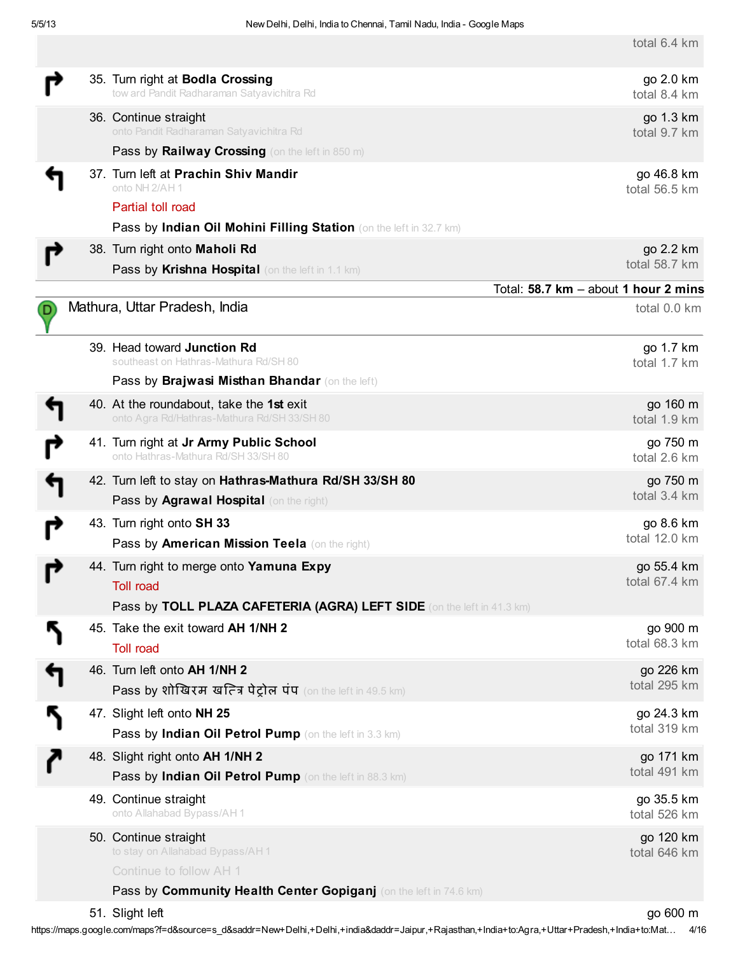total 6.4 km

|    | 35. Turn right at Bodla Crossing<br>tow ard Pandit Radharaman Satyavichitra Rd             | go 2.0 km<br>total 8.4 km                            |
|----|--------------------------------------------------------------------------------------------|------------------------------------------------------|
|    | 36. Continue straight<br>onto Pandit Radharaman Satyavichitra Rd                           | go 1.3 km<br>total 9.7 km                            |
|    | Pass by Railway Crossing (on the left in 850 m)<br>37. Turn left at Prachin Shiv Mandir    | go 46.8 km                                           |
|    | onto NH 2/AH 1                                                                             | total 56.5 km                                        |
|    | Partial toll road                                                                          |                                                      |
|    | Pass by Indian Oil Mohini Filling Station (on the left in 32.7 km)                         |                                                      |
|    | 38. Turn right onto Maholi Rd                                                              | go 2.2 km<br>total 58.7 km                           |
|    | Pass by Krishna Hospital (on the left in 1.1 km)                                           |                                                      |
|    | Mathura, Uttar Pradesh, India                                                              | Total: 58.7 km - about 1 hour 2 mins<br>total 0.0 km |
| D) |                                                                                            |                                                      |
|    | 39. Head toward Junction Rd                                                                | go 1.7 km                                            |
|    | southeast on Hathras-Mathura Rd/SH 80                                                      | total 1.7 km                                         |
|    | Pass by Brajwasi Misthan Bhandar (on the left)                                             |                                                      |
|    | 40. At the roundabout, take the 1st exit<br>onto Agra Rd/Hathras-Mathura Rd/SH 33/SH 80    | go 160 m<br>total 1.9 km                             |
|    | 41. Turn right at Jr Army Public School                                                    | go 750 m                                             |
|    | onto Hathras-Mathura Rd/SH 33/SH 80                                                        | total 2.6 km                                         |
|    | 42. Turn left to stay on Hathras-Mathura Rd/SH 33/SH 80                                    | go 750 m                                             |
|    | Pass by Agrawal Hospital (on the right)                                                    | total 3.4 km                                         |
|    | 43. Turn right onto SH 33                                                                  | go 8.6 km                                            |
|    | Pass by American Mission Teela (on the right)                                              | total 12.0 km                                        |
|    | 44. Turn right to merge onto Yamuna Expy                                                   | go 55.4 km                                           |
|    | <b>Toll road</b>                                                                           | total 67.4 km                                        |
|    | Pass by TOLL PLAZA CAFETERIA (AGRA) LEFT SIDE (on the left in 41.3 km)                     |                                                      |
|    | 45. Take the exit toward AH 1/NH 2                                                         | go 900 m                                             |
|    | <b>Toll road</b>                                                                           | total 68.3 km                                        |
|    | 46. Turn left onto AH 1/NH 2                                                               | go 226 km<br>total 295 km                            |
|    | Pass by शोखिरम खत्ति पेट्रोल पंप (on the left in 49.5 km)                                  |                                                      |
| J  | 47. Slight left onto NH 25                                                                 | go 24.3 km<br>total 319 km                           |
|    | Pass by Indian Oil Petrol Pump (on the left in 3.3 km)                                     |                                                      |
|    | 48. Slight right onto AH 1/NH 2<br>Pass by Indian Oil Petrol Pump (on the left in 88.3 km) | go 171 km<br>total 491 km                            |
|    |                                                                                            |                                                      |
|    | 49. Continue straight<br>onto Allahabad Bypass/AH 1                                        | go 35.5 km<br>total 526 km                           |
|    | 50. Continue straight                                                                      | go 120 km                                            |
|    | to stay on Allahabad Bypass/AH1                                                            | total 646 km                                         |
|    | Continue to follow AH 1                                                                    |                                                      |
|    | Pass by Community Health Center Gopiganj (on the left in 74.6 km)                          |                                                      |
|    | 51. Slight left                                                                            | go 600 m                                             |

https://maps.google.com/maps?f=d&source=s\_d&saddr=New+Delhi,+Delhi,+india&daddr=Jaipur,+Rajasthan,+India+to:Agra,+Uttar+Pradesh,+India+to:Mat… 4/16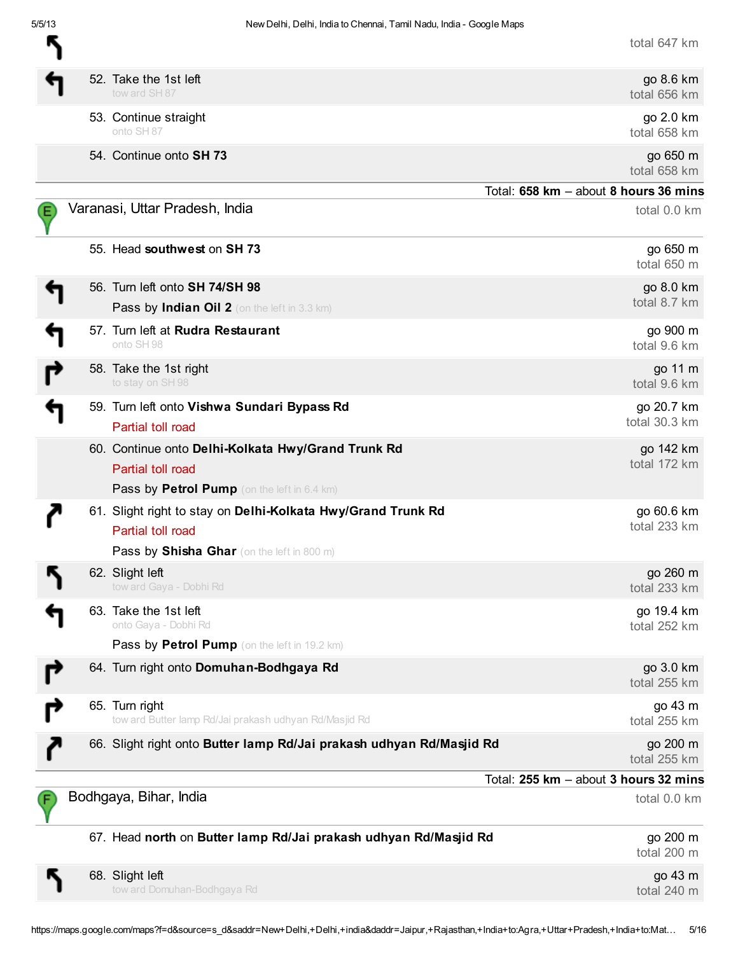R

| total 647 km |  |  |
|--------------|--|--|
|--------------|--|--|

|  | 52. Take the 1st left<br>tow ard SH 87                                                                                          | go 8.6 km<br>total 656 km             |
|--|---------------------------------------------------------------------------------------------------------------------------------|---------------------------------------|
|  | 53. Continue straight<br>onto SH 87                                                                                             | go 2.0 km<br>total 658 km             |
|  | 54. Continue onto SH 73                                                                                                         | go 650 m<br>total 658 km              |
|  |                                                                                                                                 | Total: 658 km - about 8 hours 36 mins |
|  | Varanasi, Uttar Pradesh, India                                                                                                  | total 0.0 km                          |
|  | 55. Head southwest on SH 73                                                                                                     | go 650 m<br>total 650 m               |
|  | 56. Turn left onto SH 74/SH 98                                                                                                  | go 8.0 km                             |
|  | Pass by Indian Oil 2 (on the left in 3.3 km)                                                                                    | total 8.7 km                          |
|  | 57. Turn left at Rudra Restaurant<br>onto SH 98                                                                                 | go 900 m<br>total 9.6 km              |
|  | 58. Take the 1st right<br>to stay on SH 98                                                                                      | go 11 m<br>total 9.6 km               |
|  | 59. Turn left onto Vishwa Sundari Bypass Rd<br>Partial toll road                                                                | go 20.7 km<br>total 30.3 km           |
|  | 60. Continue onto Delhi-Kolkata Hwy/Grand Trunk Rd<br>Partial toll road<br><b>Pass by Petrol Pump</b> (on the left in 6.4 km)   | go 142 km<br>total 172 km             |
|  | 61. Slight right to stay on Delhi-Kolkata Hwy/Grand Trunk Rd<br>Partial toll road<br>Pass by Shisha Ghar (on the left in 800 m) | go 60.6 km<br>total 233 km            |
|  | 62. Slight left<br>tow ard Gaya - Dobhi Rd                                                                                      | go 260 m<br>total 233 km              |
|  | 63. Take the 1st left<br>onto Gaya - Dobhi Rd                                                                                   | go 19.4 km<br>total 252 km            |
|  | Pass by Petrol Pump (on the left in 19.2 km)                                                                                    |                                       |
|  | 64. Turn right onto Domuhan-Bodhgaya Rd                                                                                         | go 3.0 km<br>total 255 km             |
|  | 65. Turn right<br>tow ard Butter lamp Rd/Jai prakash udhyan Rd/Masjid Rd                                                        | go 43 m<br>total 255 km               |
|  | 66. Slight right onto Butter lamp Rd/Jai prakash udhyan Rd/Masjid Rd                                                            | go 200 m<br>total 255 km              |
|  |                                                                                                                                 | Total: 255 km - about 3 hours 32 mins |
|  | Bodhgaya, Bihar, India                                                                                                          | total 0.0 km                          |
|  | 67. Head north on Butter lamp Rd/Jai prakash udhyan Rd/Masjid Rd                                                                | go 200 m<br>total 200 m               |
|  | 68. Slight left<br>tow ard Domuhan-Bodhgaya Rd                                                                                  | go 43 m<br>total 240 m                |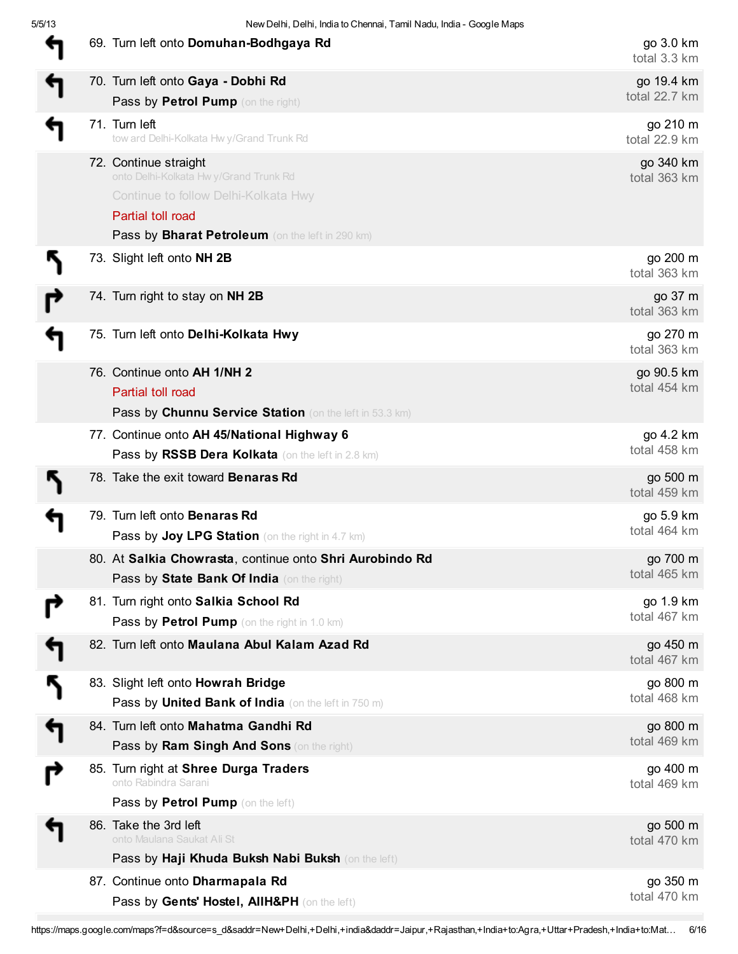|   | 69. Turn left onto Domuhan-Bodhgaya Rd                                                                                                                                           | go 3.0 km<br>total 3.3 km   |
|---|----------------------------------------------------------------------------------------------------------------------------------------------------------------------------------|-----------------------------|
|   | 70. Turn left onto Gaya - Dobhi Rd                                                                                                                                               | go 19.4 km<br>total 22.7 km |
|   | Pass by Petrol Pump (on the right)                                                                                                                                               |                             |
|   | 71. Turn left<br>tow ard Delhi-Kolkata Hwy/Grand Trunk Rd                                                                                                                        | go 210 m<br>total 22.9 km   |
|   | 72. Continue straight<br>onto Delhi-Kolkata Hw y/Grand Trunk Rd<br>Continue to follow Delhi-Kolkata Hwy<br>Partial toll road<br>Pass by Bharat Petroleum (on the left in 290 km) | go 340 km<br>total 363 km   |
|   | 73. Slight left onto NH 2B                                                                                                                                                       | go 200 m<br>total 363 km    |
|   | 74. Turn right to stay on NH 2B                                                                                                                                                  | go 37 m<br>total 363 km     |
|   | 75. Turn left onto Delhi-Kolkata Hwy                                                                                                                                             | go 270 m<br>total 363 km    |
|   | 76. Continue onto AH 1/NH 2<br>Partial toll road<br>Pass by Chunnu Service Station (on the left in 53.3 km)                                                                      | go 90.5 km<br>total 454 km  |
|   | 77. Continue onto AH 45/National Highway 6<br>Pass by RSSB Dera Kolkata (on the left in 2.8 km)                                                                                  | go 4.2 km<br>total 458 km   |
|   | 78. Take the exit toward Benaras Rd                                                                                                                                              | go 500 m<br>total 459 km    |
|   | 79. Turn left onto Benaras Rd<br><b>Pass by Joy LPG Station</b> (on the right in 4.7 km)                                                                                         | go 5.9 km<br>total 464 km   |
|   | 80. At Salkia Chowrasta, continue onto Shri Aurobindo Rd<br>Pass by State Bank Of India (on the right)                                                                           | go 700 m<br>total 465 km    |
|   | 81. Turn right onto Salkia School Rd<br>Pass by Petrol Pump (on the right in 1.0 km)                                                                                             | go 1.9 km<br>total 467 km   |
|   | 82. Turn left onto Maulana Abul Kalam Azad Rd                                                                                                                                    | go 450 m<br>total 467 km    |
|   | 83. Slight left onto Howrah Bridge<br>Pass by United Bank of India (on the left in 750 m)                                                                                        | go 800 m<br>total 468 km    |
| ↰ | 84. Turn left onto Mahatma Gandhi Rd<br>Pass by Ram Singh And Sons (on the right)                                                                                                | go 800 m<br>total 469 km    |
|   | 85. Turn right at Shree Durga Traders<br>onto Rabindra Sarani<br>Pass by Petrol Pump (on the left)                                                                               | go 400 m<br>total 469 km    |
|   | 86. Take the 3rd left<br>onto Maulana Saukat Ali St<br>Pass by Haji Khuda Buksh Nabi Buksh (on the left)                                                                         | go 500 m<br>total 470 km    |
|   | 87. Continue onto Dharmapala Rd<br>Pass by Gents' Hostel, AllH&PH (on the left)                                                                                                  | go 350 m<br>total 470 km    |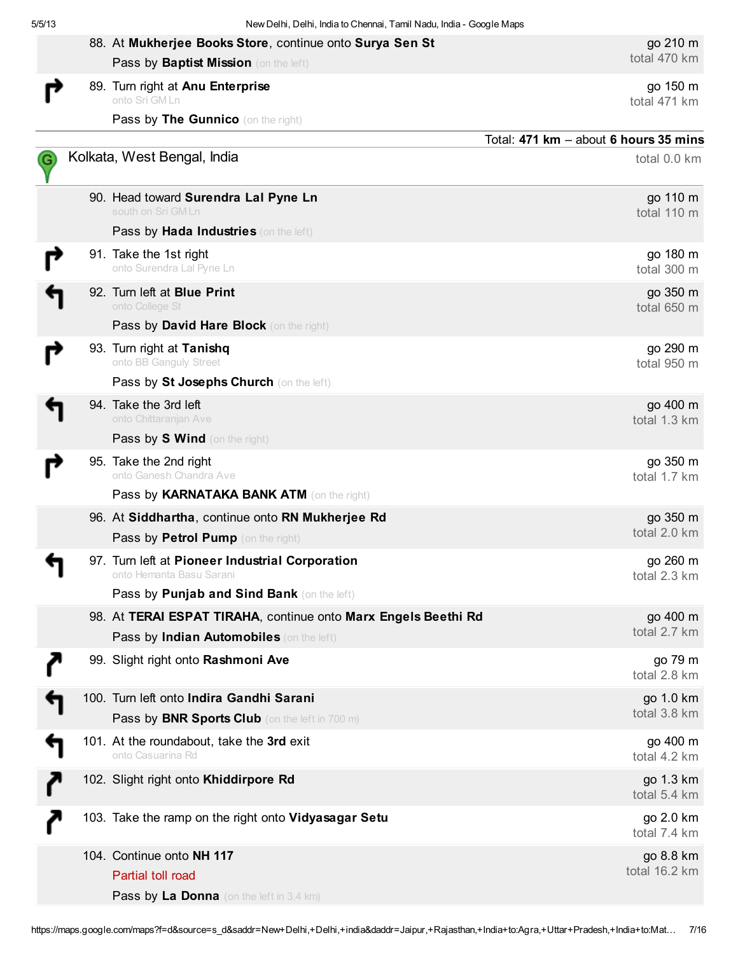|  | 88. At Mukherjee Books Store, continue onto Surya Sen St                                                   | go 210 m                              |
|--|------------------------------------------------------------------------------------------------------------|---------------------------------------|
|  | Pass by Baptist Mission (on the left)                                                                      | total 470 km                          |
|  | 89. Turn right at Anu Enterprise<br>onto Sri GM Ln                                                         | go 150 m<br>total 471 km              |
|  | Pass by The Gunnico (on the right)                                                                         |                                       |
|  |                                                                                                            | Total: 471 km - about 6 hours 35 mins |
|  | Kolkata, West Bengal, India                                                                                | total 0.0 km                          |
|  | 90. Head toward Surendra Lal Pyne Ln<br>south on Sri GM Ln                                                 | go 110 m<br>total 110 m               |
|  | Pass by Hada Industries (on the left)                                                                      |                                       |
|  | 91. Take the 1st right<br>onto Surendra Lal Pyne Ln                                                        | go 180 m<br>total 300 m               |
|  | 92. Turn left at Blue Print<br>onto College St<br>Pass by David Hare Block (on the right)                  | go 350 m<br>total 650 m               |
|  | 93. Turn right at Tanishq<br>onto BB Ganguly Street<br>Pass by St Josephs Church (on the left)             | go 290 m<br>total 950 m               |
|  | 94. Take the 3rd left<br>onto Chittaranjan Ave<br>Pass by S Wind (on the right)                            | go 400 m<br>total 1.3 km              |
|  | 95. Take the 2nd right<br>onto Ganesh Chandra Ave                                                          | go 350 m<br>total 1.7 km              |
|  | Pass by KARNATAKA BANK ATM (on the right)                                                                  |                                       |
|  | 96. At Siddhartha, continue onto RN Mukherjee Rd<br>Pass by Petrol Pump (on the right)                     | go 350 m<br>total 2.0 km              |
|  | 97. Turn left at Pioneer Industrial Corporation<br>onto Hemanta Basu Sarani                                | go 260 m<br>total 2.3 km              |
|  | Pass by Punjab and Sind Bank (on the left)                                                                 |                                       |
|  | 98. At TERAI ESPAT TIRAHA, continue onto Marx Engels Beethi Rd<br>Pass by Indian Automobiles (on the left) | go 400 m<br>total 2.7 km              |
|  | 99. Slight right onto Rashmoni Ave                                                                         | go 79 m<br>total 2.8 km               |
|  | 100. Turn left onto Indira Gandhi Sarani<br>Pass by BNR Sports Club (on the left in 700 m)                 | go 1.0 km<br>total 3.8 km             |
|  | 101. At the roundabout, take the 3rd exit<br>onto Casuarina Rd                                             | go 400 m<br>total 4.2 km              |
|  | 102. Slight right onto Khiddirpore Rd                                                                      | go 1.3 km<br>total 5.4 km             |
|  | 103. Take the ramp on the right onto Vidyasagar Setu                                                       | go 2.0 km<br>total 7.4 km             |
|  | 104. Continue onto NH 117<br>Partial toll road<br>Pass by La Donna (on the left in 3.4 km)                 | go 8.8 km<br>total 16.2 km            |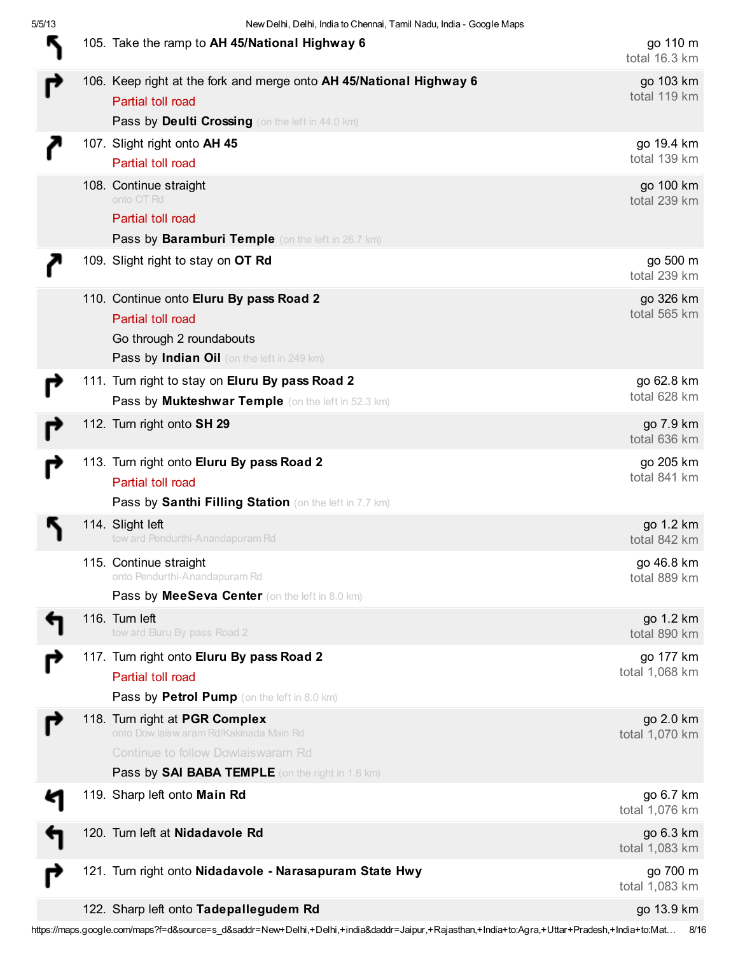|  | 105. Take the ramp to AH 45/National Highway 6                                                                                                                             | go 110 m<br>total 16.3 km   |
|--|----------------------------------------------------------------------------------------------------------------------------------------------------------------------------|-----------------------------|
|  | 106. Keep right at the fork and merge onto AH 45/National Highway 6<br>Partial toll road<br>Pass by Deulti Crossing (on the left in 44.0 km)                               | go 103 km<br>total 119 km   |
|  | 107. Slight right onto AH 45<br>Partial toll road                                                                                                                          | go 19.4 km<br>total 139 km  |
|  | 108. Continue straight<br>onto OT Rd<br>Partial toll road<br>Pass by Baramburi Temple (on the left in 26.7 km)                                                             | go 100 km<br>total 239 km   |
|  | 109. Slight right to stay on OT Rd                                                                                                                                         | go 500 m<br>total 239 km    |
|  | 110. Continue onto Eluru By pass Road 2<br>Partial toll road<br>Go through 2 roundabouts<br>Pass by Indian Oil (on the left in 249 km)                                     | go 326 km<br>total 565 km   |
|  | 111. Turn right to stay on Eluru By pass Road 2<br>Pass by Mukteshwar Temple (on the left in 52.3 km)                                                                      | go 62.8 km<br>total 628 km  |
|  | 112. Turn right onto SH 29                                                                                                                                                 | go 7.9 km<br>total 636 km   |
|  | 113. Turn right onto Eluru By pass Road 2<br>Partial toll road<br>Pass by Santhi Filling Station (on the left in 7.7 km)                                                   | go 205 km<br>total 841 km   |
|  | 114. Slight left<br>tow ard Pendurthi-Anandapuram Rd                                                                                                                       | go 1.2 km<br>total 842 km   |
|  | 115. Continue straight<br>onto Pendurthi-Anandapuram Rd<br>Pass by MeeSeva Center (on the left in 8.0 km)                                                                  | go 46.8 km<br>total 889 km  |
|  | 116. Turn left<br>tow ard Euru By pass Road 2                                                                                                                              | go 1.2 km<br>total 890 km   |
|  | 117. Turn right onto Eluru By pass Road 2<br>Partial toll road<br>Pass by Petrol Pump (on the left in 8.0 km)                                                              | go 177 km<br>total 1,068 km |
|  | 118. Turn right at PGR Complex<br>onto Dow laisw aram Rd/Kakinada Main Rd<br>Continue to follow Dowlaiswaram Rd<br><b>Pass by SAI BABA TEMPLE</b> (on the right in 1.6 km) | go 2.0 km<br>total 1,070 km |
|  | 119. Sharp left onto Main Rd                                                                                                                                               | go 6.7 km<br>total 1,076 km |
|  | 120. Turn left at Nidadavole Rd                                                                                                                                            | go 6.3 km<br>total 1,083 km |
|  | 121. Turn right onto Nidadavole - Narasapuram State Hwy                                                                                                                    | go 700 m<br>total 1,083 km  |
|  | 122. Sharp left onto Tadepallegudem Rd                                                                                                                                     | go 13.9 km                  |

https://maps.google.com/maps?f=d&source=s\_d&saddr=New+Delhi,+Delhi,+india&daddr=Jaipur,+Rajasthan,+India+to:Agra,+Uttar+Pradesh,+India+to:Mat… 8/16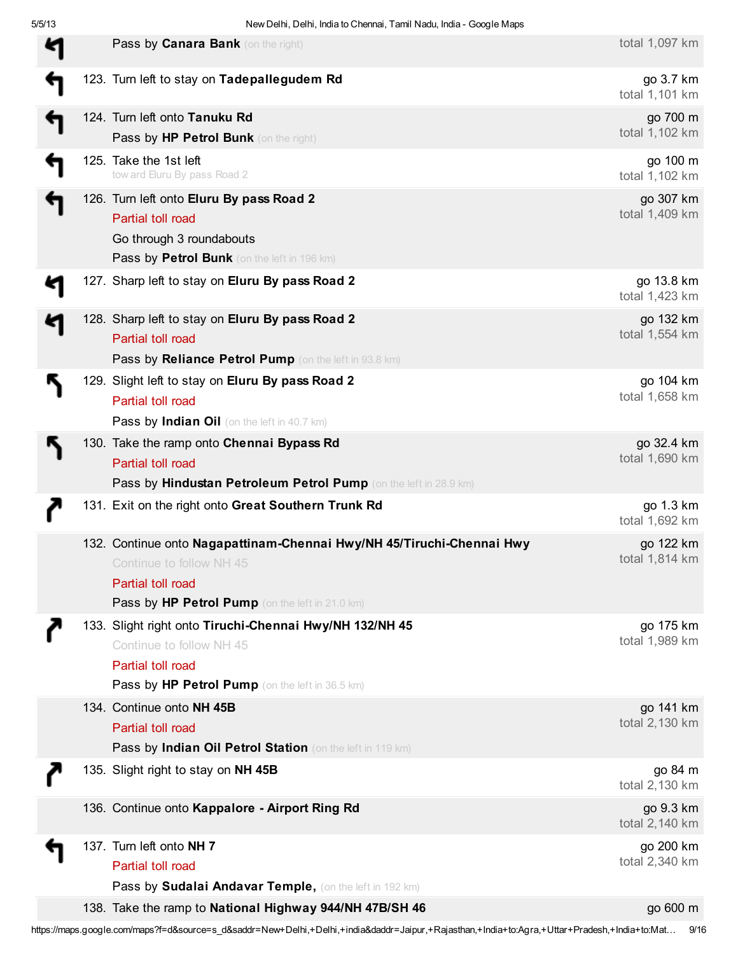| Pass by Canara Bank (on the right)                                                                                                                                        | total 1,097 km               |
|---------------------------------------------------------------------------------------------------------------------------------------------------------------------------|------------------------------|
| 123. Turn left to stay on Tadepallegudem Rd                                                                                                                               | go 3.7 km<br>total 1,101 km  |
| 124. Turn left onto Tanuku Rd<br>Pass by HP Petrol Bunk (on the right)                                                                                                    | go 700 m<br>total 1,102 km   |
| 125. Take the 1st left<br>tow ard Eluru By pass Road 2                                                                                                                    | go 100 m<br>total 1,102 km   |
| 126. Turn left onto Eluru By pass Road 2<br>Partial toll road<br>Go through 3 roundabouts<br>Pass by Petrol Bunk (on the left in 196 km)                                  | go 307 km<br>total 1,409 km  |
| 127. Sharp left to stay on Eluru By pass Road 2                                                                                                                           | go 13.8 km<br>total 1,423 km |
| 128. Sharp left to stay on Eluru By pass Road 2<br>Partial toll road<br>Pass by Reliance Petrol Pump (on the left in 93.8 km)                                             | go 132 km<br>total 1,554 km  |
| 129. Slight left to stay on Eluru By pass Road 2<br>Partial toll road<br>Pass by Indian Oil (on the left in 40.7 km)                                                      | go 104 km<br>total 1,658 km  |
| 130. Take the ramp onto Chennai Bypass Rd<br>Partial toll road<br>Pass by Hindustan Petroleum Petrol Pump (on the left in 28.9 km)                                        | go 32.4 km<br>total 1,690 km |
| 131. Exit on the right onto Great Southern Trunk Rd                                                                                                                       | go 1.3 km<br>total 1,692 km  |
| 132. Continue onto Nagapattinam-Chennai Hwy/NH 45/Tiruchi-Chennai Hwy<br>Continue to follow NH 45<br>Partial toll road<br>Pass by HP Petrol Pump (on the left in 21.0 km) | go 122 km<br>total 1,814 km  |
| 133. Slight right onto Tiruchi-Chennai Hwy/NH 132/NH 45<br>Continue to follow NH 45<br>Partial toll road<br>Pass by HP Petrol Pump (on the left in 36.5 km)               | go 175 km<br>total 1,989 km  |
| 134. Continue onto NH 45B<br>Partial toll road<br>Pass by Indian Oil Petrol Station (on the left in 119 km)                                                               | go 141 km<br>total 2,130 km  |
| 135. Slight right to stay on NH 45B                                                                                                                                       | go 84 m<br>total 2,130 km    |
| 136. Continue onto Kappalore - Airport Ring Rd                                                                                                                            | go 9.3 km<br>total 2,140 km  |
| 137. Turn left onto NH 7<br>Partial toll road<br>Pass by Sudalai Andavar Temple, (on the left in 192 km)                                                                  | go 200 km<br>total 2,340 km  |
| 138. Take the ramp to National Highway 944/NH 47B/SH 46                                                                                                                   | go 600 m                     |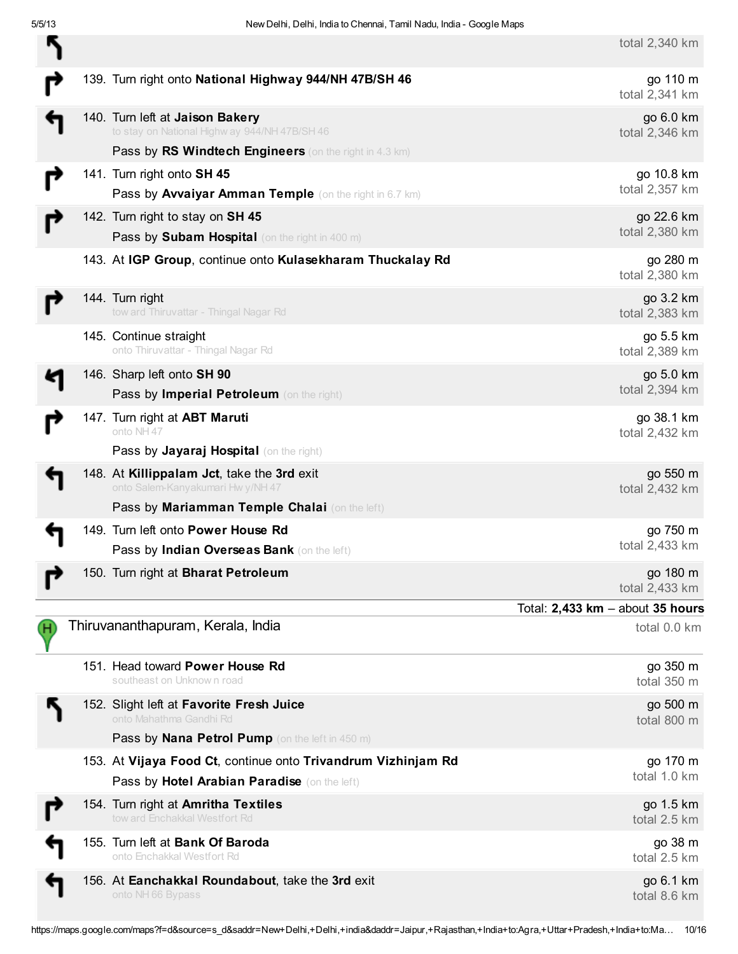total 2,340 km

|    |                                                                                                                                                   | $101012,000$ $1111$              |
|----|---------------------------------------------------------------------------------------------------------------------------------------------------|----------------------------------|
|    | 139. Turn right onto National Highway 944/NH 47B/SH 46                                                                                            | go 110 m<br>total 2,341 km       |
|    | 140. Turn left at Jaison Bakery<br>to stay on National Highw ay 944/NH 47B/SH 46<br><b>Pass by RS Windtech Engineers</b> (on the right in 4.3 km) | go 6.0 km<br>total 2,346 km      |
|    | 141. Turn right onto SH 45                                                                                                                        | go 10.8 km                       |
|    | Pass by Avvaiyar Amman Temple (on the right in 6.7 km)                                                                                            | total 2,357 km                   |
|    | 142. Turn right to stay on SH 45                                                                                                                  | go 22.6 km                       |
|    | Pass by Subam Hospital (on the right in 400 m)                                                                                                    | total 2,380 km                   |
|    | 143. At IGP Group, continue onto Kulasekharam Thuckalay Rd                                                                                        | go 280 m<br>total 2,380 km       |
|    | 144. Turn right<br>tow ard Thiruvattar - Thingal Nagar Rd                                                                                         | go 3.2 km<br>total 2,383 km      |
|    | 145. Continue straight<br>onto Thiruvattar - Thingal Nagar Rd                                                                                     | go 5.5 km<br>total 2,389 km      |
|    | 146. Sharp left onto SH 90<br>Pass by Imperial Petroleum (on the right)                                                                           | go 5.0 km<br>total 2,394 km      |
|    | 147. Turn right at <b>ABT Maruti</b><br>onto NH 47                                                                                                | go 38.1 km<br>total 2,432 km     |
|    | Pass by Jayaraj Hospital (on the right)                                                                                                           |                                  |
|    | 148. At Killippalam Jct, take the 3rd exit<br>onto Salem-Kanyakumari Hw y/NH 47                                                                   | go 550 m<br>total 2,432 km       |
|    | Pass by Mariamman Temple Chalai (on the left)                                                                                                     |                                  |
|    | 149. Turn left onto Power House Rd                                                                                                                | go 750 m                         |
|    | Pass by Indian Overseas Bank (on the left)                                                                                                        | total 2,433 km                   |
|    | 150. Turn right at Bharat Petroleum                                                                                                               | go 180 m<br>total 2,433 km       |
|    |                                                                                                                                                   | Total: 2,433 km - about 35 hours |
| (H | Thiruvananthapuram, Kerala, India                                                                                                                 | total 0.0 km                     |
|    | 151. Head toward Power House Rd<br>southeast on Unknown road                                                                                      | go 350 m<br>total 350 m          |
|    | 152. Slight left at Favorite Fresh Juice<br>onto Mahathma Gandhi Rd<br><b>Pass by Nana Petrol Pump</b> (on the left in 450 m)                     | go 500 m<br>total 800 m          |
|    | 153. At Vijaya Food Ct, continue onto Trivandrum Vizhinjam Rd                                                                                     |                                  |
|    | Pass by Hotel Arabian Paradise (on the left)                                                                                                      | go 170 m<br>total 1.0 km         |
|    | 154. Turn right at Amritha Textiles<br>tow ard Enchakkal Westfort Rd                                                                              | go 1.5 km<br>total 2.5 km        |
|    | 155. Turn left at Bank Of Baroda<br>onto Enchakkal Westfort Rd                                                                                    | go 38 m<br>total 2.5 km          |
|    | 156. At Eanchakkal Roundabout, take the 3rd exit<br>onto NH 66 Bypass                                                                             | go 6.1 km<br>total 8.6 km        |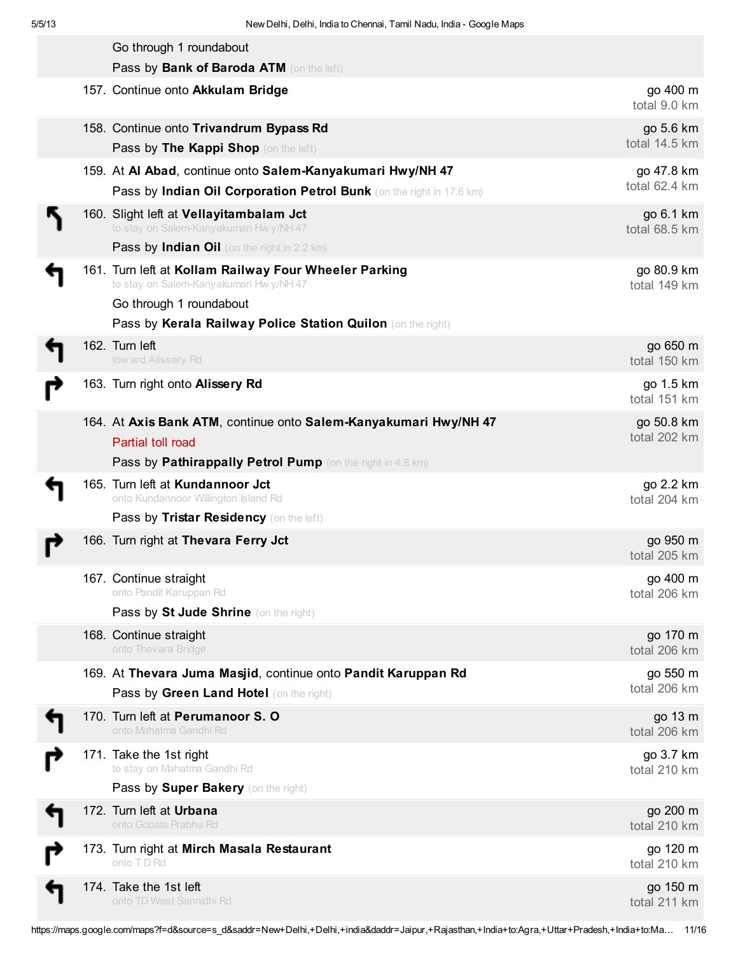| Go through 1 roundabout                                                                         |                            |
|-------------------------------------------------------------------------------------------------|----------------------------|
| Pass by Bank of Baroda ATM (on the left)                                                        |                            |
| 157. Continue onto Akkulam Bridge                                                               | go 400 m<br>total 9.0 km   |
| 158. Continue onto Trivandrum Bypass Rd<br>Pass by The Kappi Shop (on the left)                 | go 5.6 km<br>total 14.5 km |
| 159. At Al Abad, continue onto Salem-Kanyakumari Hwy/NH 47                                      | go 47.8 km                 |
| Pass by Indian Oil Corporation Petrol Bunk (on the right in 17.6 km)                            | total 62.4 km              |
| 160. Slight left at Vellayitambalam Jct<br>to stay on Salem-Kanyakumari Hwy/NH 47               | go 6.1 km<br>total 68.5 km |
| <b>Pass by Indian Oil</b> (on the right in 2.2 km)                                              |                            |
| 161. Turn left at Kollam Railway Four Wheeler Parking<br>to stay on Salem-Kanyakumari Hwy/NH 47 | go 80.9 km<br>total 149 km |
| Go through 1 roundabout                                                                         |                            |
| Pass by Kerala Railway Police Station Quilon (on the right)                                     |                            |
| 162. Turn left<br>tow ard Alissery Rd                                                           | go 650 m<br>total 150 km   |
| 163. Turn right onto Alissery Rd                                                                | go 1.5 km<br>total 151 km  |
| 164. At Axis Bank ATM, continue onto Salem-Kanyakumari Hwy/NH 47                                | go 50.8 km                 |
| Partial toll road                                                                               | total 202 km               |
| Pass by Pathirappally Petrol Pump (on the right in 4.8 km)                                      |                            |
| 165. Turn left at Kundannoor Jct<br>onto Kundannoor Willington Island Rd                        | go 2.2 km<br>total 204 km  |
| Pass by Tristar Residency (on the left)                                                         |                            |
| 166. Turn right at Thevara Ferry Jct                                                            | go 950 m<br>total 205 km   |
| 167. Continue straight                                                                          | go 400 m                   |
| onto Pandit Karuppan Rd<br>Pass by St Jude Shrine (on the right)                                | total 206 km               |
|                                                                                                 |                            |
| 168. Continue straight<br>onto Thevara Bridge                                                   | go 170 m<br>total 206 km   |
| 169. At Thevara Juma Masjid, continue onto Pandit Karuppan Rd                                   | go 550 m                   |
| Pass by Green Land Hotel (on the right)                                                         | total 206 km               |
| 170. Turn left at Perumanoor S. O<br>onto Mahatma Gandhi Rd                                     | go 13 m<br>total 206 km    |
| 171. Take the 1st right                                                                         | go 3.7 km                  |
| to stay on Mahatma Gandhi Rd                                                                    | total 210 km               |
| Pass by Super Bakery (on the right)                                                             |                            |
| 172. Turn left at Urbana<br>onto Gopala Prabhu Rd                                               | go 200 m<br>total 210 km   |
| 173. Turn right at Mirch Masala Restaurant<br>onto TD Rd                                        | go 120 m<br>total 210 km   |
| 174. Take the 1st left<br>onto TD West Sannidhi Rd                                              | go 150 m<br>total 211 km   |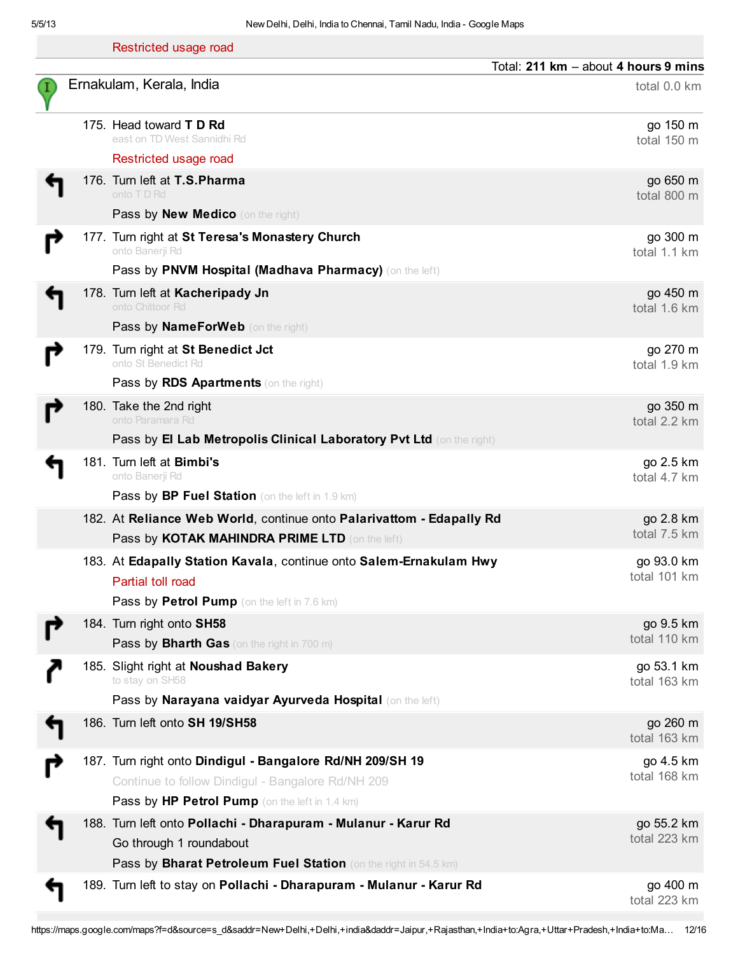|  | Restricted usage road                                                                      |                                      |
|--|--------------------------------------------------------------------------------------------|--------------------------------------|
|  |                                                                                            | Total: 211 km - about 4 hours 9 mins |
|  | Ernakulam, Kerala, India                                                                   | total 0.0 km                         |
|  | 175. Head toward <b>T D Rd</b><br>east on TD West Sannidhi Rd                              | go 150 m<br>total 150 m              |
|  | Restricted usage road                                                                      |                                      |
|  | 176. Turn left at T.S. Pharma                                                              | go 650 m                             |
|  | onto TD Rd<br>Pass by New Medico (on the right)                                            | total 800 m                          |
|  | 177. Turn right at St Teresa's Monastery Church                                            | go 300 m                             |
|  | onto Banerji Rd                                                                            | total 1.1 km                         |
|  | Pass by PNVM Hospital (Madhava Pharmacy) (on the left)                                     |                                      |
|  | 178. Turn left at Kacheripady Jn<br>onto Chittoor Rd                                       | go 450 m<br>total 1.6 km             |
|  | Pass by NameForWeb (on the right)                                                          |                                      |
|  | 179. Turn right at St Benedict Jct<br>onto St Benedict Rd                                  | go 270 m                             |
|  | Pass by RDS Apartments (on the right)                                                      | total 1.9 km                         |
|  | 180. Take the 2nd right                                                                    | go 350 m                             |
|  | onto Paramara Rd                                                                           | total 2.2 km                         |
|  | Pass by El Lab Metropolis Clinical Laboratory Pvt Ltd (on the right)                       |                                      |
|  | 181. Turn left at Bimbi's<br>onto Banerji Rd                                               | go 2.5 km<br>total 4.7 km            |
|  | Pass by BP Fuel Station (on the left in 1.9 km)                                            |                                      |
|  | 182. At Reliance Web World, continue onto Palarivattom - Edapally Rd                       | go 2.8 km                            |
|  | Pass by KOTAK MAHINDRA PRIME LTD (on the left)                                             | total 7.5 km                         |
|  | 183. At Edapally Station Kavala, continue onto Salem-Ernakulam Hwy                         | go 93.0 km                           |
|  | Partial toll road                                                                          | total 101 km                         |
|  | Pass by Petrol Pump (on the left in 7.6 km)                                                |                                      |
|  | 184. Turn right onto SH58<br><b>Pass by Bharth Gas</b> (on the right in 700 m)             | go 9.5 km<br>total 110 km            |
|  | 185. Slight right at Noushad Bakery                                                        | go 53.1 km                           |
|  | to stay on SH58                                                                            | total 163 km                         |
|  | Pass by Narayana vaidyar Ayurveda Hospital (on the left)                                   |                                      |
|  | 186. Turn left onto SH 19/SH58                                                             | go 260 m<br>total 163 km             |
|  | 187. Turn right onto Dindigul - Bangalore Rd/NH 209/SH 19                                  | go 4.5 km                            |
|  | Continue to follow Dindigul - Bangalore Rd/NH 209                                          | total 168 km                         |
|  | Pass by HP Petrol Pump (on the left in 1.4 km)                                             |                                      |
|  | 188. Turn left onto Pollachi - Dharapuram - Mulanur - Karur Rd                             | go 55.2 km<br>total 223 km           |
|  | Go through 1 roundabout<br>Pass by Bharat Petroleum Fuel Station (on the right in 54.5 km) |                                      |
|  | 189. Turn left to stay on Pollachi - Dharapuram - Mulanur - Karur Rd                       | go 400 m                             |
|  |                                                                                            | total 223 km                         |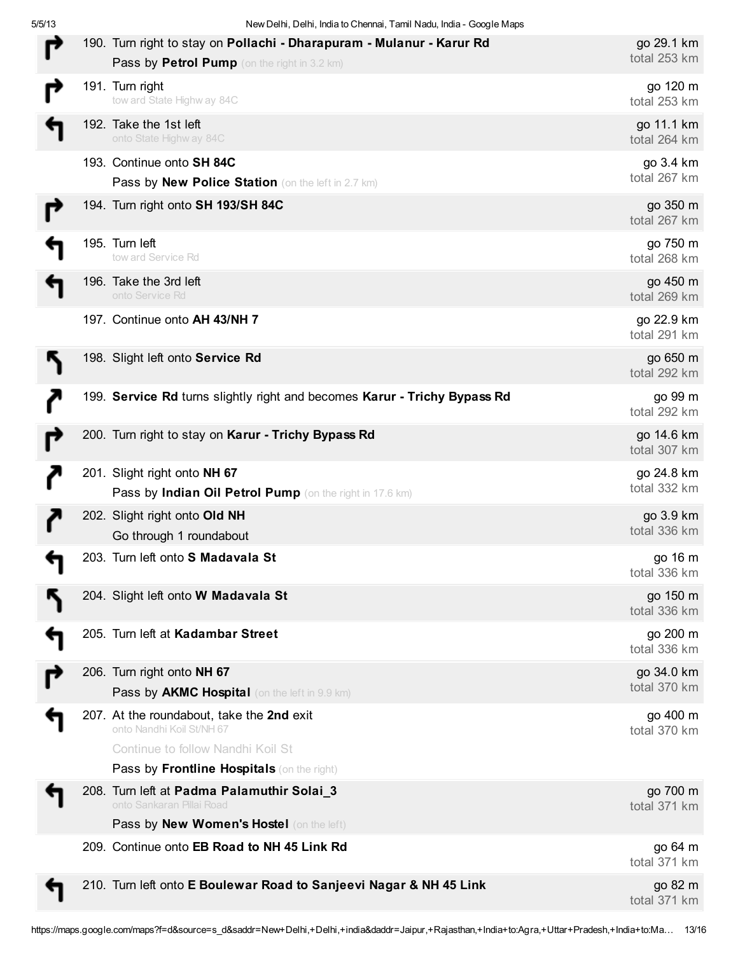5/5/13 New Delhi, Delhi, India to Chennai, Tamil Nadu, India - Google Maps

|  | 190. Turn right to stay on Pollachi - Dharapuram - Mulanur - Karur Rd<br>Pass by Petrol Pump (on the right in 3.2 km)                                     | go 29.1 km<br>total 253 km |
|--|-----------------------------------------------------------------------------------------------------------------------------------------------------------|----------------------------|
|  | 191. Turn right<br>tow ard State Highw ay 84C                                                                                                             | go 120 m<br>total 253 km   |
|  | 192. Take the 1st left<br>onto State Highw ay 84C                                                                                                         | go 11.1 km<br>total 264 km |
|  | 193. Continue onto SH 84C<br>Pass by New Police Station (on the left in 2.7 km)                                                                           | go 3.4 km<br>total 267 km  |
|  | 194. Turn right onto SH 193/SH 84C                                                                                                                        | go 350 m<br>total 267 km   |
|  | 195. Turn left<br>tow ard Service Rd                                                                                                                      | go 750 m<br>total 268 km   |
|  | 196. Take the 3rd left<br>onto Service Rd                                                                                                                 | go 450 m<br>total 269 km   |
|  | 197. Continue onto AH 43/NH 7                                                                                                                             | go 22.9 km<br>total 291 km |
|  | 198. Slight left onto Service Rd                                                                                                                          | go 650 m<br>total 292 km   |
|  | 199. Service Rd turns slightly right and becomes Karur - Trichy Bypass Rd                                                                                 | go 99 m<br>total 292 km    |
|  | 200. Turn right to stay on Karur - Trichy Bypass Rd                                                                                                       | go 14.6 km<br>total 307 km |
|  | 201. Slight right onto NH 67<br>Pass by Indian Oil Petrol Pump (on the right in 17.6 km)                                                                  | go 24.8 km<br>total 332 km |
|  | 202. Slight right onto Old NH<br>Go through 1 roundabout                                                                                                  | go 3.9 km<br>total 336 km  |
|  | 203. Turn left onto S Madavala St                                                                                                                         | go 16 m<br>total 336 km    |
|  | 204. Slight left onto W Madavala St                                                                                                                       | go 150 m<br>total 336 km   |
|  | 205. Turn left at Kadambar Street                                                                                                                         | go 200 m<br>total 336 km   |
|  | 206. Turn right onto NH 67<br>Pass by AKMC Hospital (on the left in 9.9 km)                                                                               | go 34.0 km<br>total 370 km |
|  | 207. At the roundabout, take the 2nd exit<br>onto Nandhi Koil St/NH 67<br>Continue to follow Nandhi Koil St<br>Pass by Frontline Hospitals (on the right) | go 400 m<br>total 370 km   |
|  | 208. Turn left at Padma Palamuthir Solai_3<br>onto Sankaran Pillai Road<br>Pass by New Women's Hostel (on the left)                                       | go 700 m<br>total 371 km   |
|  | 209. Continue onto EB Road to NH 45 Link Rd                                                                                                               | go 64 m<br>total 371 km    |
|  | 210. Turn left onto E Boulewar Road to Sanjeevi Nagar & NH 45 Link                                                                                        | go 82 m<br>total 371 km    |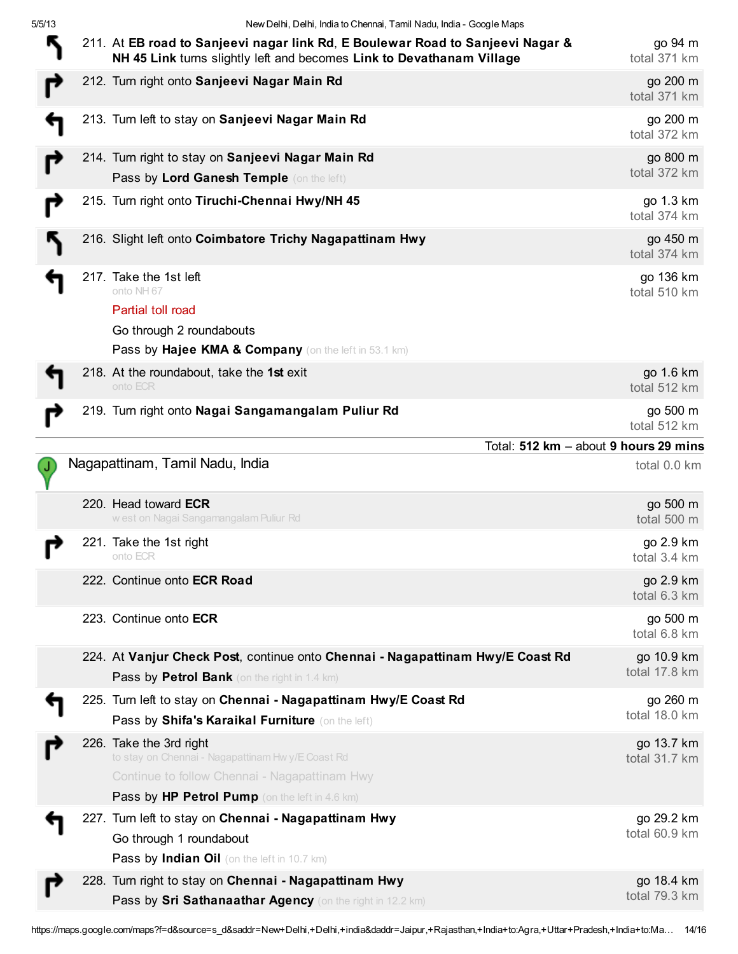5/5/13 New Delhi, Delhi, India to Chennai, Tamil Nadu, India - Google Maps

|  | 211. At EB road to Sanjeevi nagar link Rd, E Boulewar Road to Sanjeevi Nagar &<br>NH 45 Link turns slightly left and becomes Link to Devathanam Village                         | go 94 m<br>total 371 km     |
|--|---------------------------------------------------------------------------------------------------------------------------------------------------------------------------------|-----------------------------|
|  | 212. Turn right onto Sanjeevi Nagar Main Rd                                                                                                                                     | go 200 m<br>total 371 km    |
|  | 213. Turn left to stay on Sanjeevi Nagar Main Rd                                                                                                                                | go 200 m<br>total 372 km    |
|  | 214. Turn right to stay on Sanjeevi Nagar Main Rd                                                                                                                               | go 800 m                    |
|  | Pass by Lord Ganesh Temple (on the left)                                                                                                                                        | total 372 km                |
|  | 215. Turn right onto Tiruchi-Chennai Hwy/NH 45                                                                                                                                  | go 1.3 km<br>total 374 km   |
|  | 216. Slight left onto Coimbatore Trichy Nagapattinam Hwy                                                                                                                        | go 450 m<br>total 374 km    |
|  | 217. Take the 1st left<br>onto NH 67                                                                                                                                            | go 136 km<br>total 510 km   |
|  | Partial toll road                                                                                                                                                               |                             |
|  | Go through 2 roundabouts                                                                                                                                                        |                             |
|  | Pass by Hajee KMA & Company (on the left in 53.1 km)                                                                                                                            |                             |
|  | 218. At the roundabout, take the 1st exit<br>onto ECR                                                                                                                           | go 1.6 km<br>total 512 km   |
|  | 219. Turn right onto Nagai Sangamangalam Puliur Rd                                                                                                                              | go 500 m<br>total 512 km    |
|  | Total: 512 km - about 9 hours 29 mins                                                                                                                                           |                             |
|  | Nagapattinam, Tamil Nadu, India                                                                                                                                                 | total 0.0 km                |
|  | 220. Head toward ECR                                                                                                                                                            | go 500 m                    |
|  | w est on Nagai Sangamangalam Puliur Rd                                                                                                                                          | total 500 m                 |
|  | 221. Take the 1st right<br>onto ECR                                                                                                                                             | go 2.9 km<br>total 3.4 km   |
|  | 222. Continue onto ECR Road                                                                                                                                                     | go 2.9 km<br>total 6.3 km   |
|  | 223. Continue onto ECR                                                                                                                                                          | go 500 m<br>total 6.8 km    |
|  | 224. At Vanjur Check Post, continue onto Chennai - Nagapattinam Hwy/E Coast Rd<br>Pass by Petrol Bank (on the right in 1.4 km)                                                  | go 10.9 km<br>total 17.8 km |
|  | 225. Turn left to stay on Chennai - Nagapattinam Hwy/E Coast Rd<br>Pass by Shifa's Karaikal Furniture (on the left)                                                             | go 260 m<br>total 18.0 km   |
|  | 226. Take the 3rd right<br>to stay on Chennai - Nagapattinam Hw y/E Coast Rd<br>Continue to follow Chennai - Nagapattinam Hwy<br>Pass by HP Petrol Pump (on the left in 4.6 km) | go 13.7 km<br>total 31.7 km |
|  | 227. Turn left to stay on Chennai - Nagapattinam Hwy<br>Go through 1 roundabout<br>Pass by Indian Oil (on the left in 10.7 km)                                                  | go 29.2 km<br>total 60.9 km |
|  | 228. Turn right to stay on Chennai - Nagapattinam Hwy                                                                                                                           | go 18.4 km                  |
|  | Pass by Sri Sathanaathar Agency (on the right in 12.2 km)                                                                                                                       | total 79.3 km               |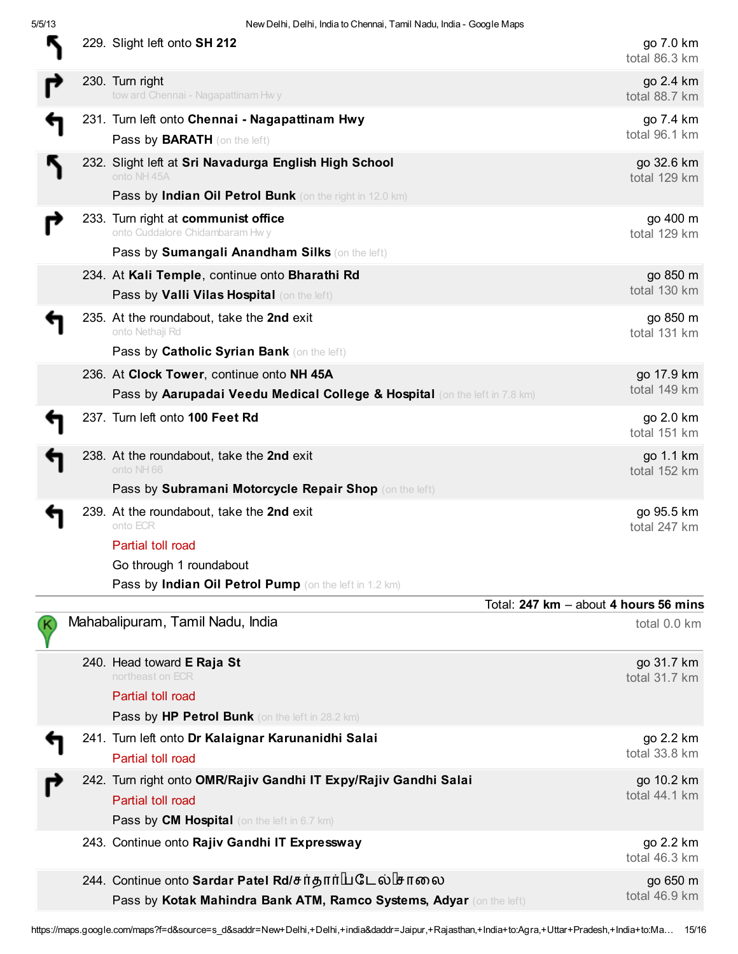| 5/5/13 | New Delhi, Delhi, India to Chennai, Tamil Nadu, India - Google Maps                                                                  |                             |
|--------|--------------------------------------------------------------------------------------------------------------------------------------|-----------------------------|
|        | 229. Slight left onto SH 212                                                                                                         | go 7.0 km<br>total 86.3 km  |
|        | 230. Turn right<br>tow ard Chennai - Nagapattinam Hwy                                                                                | go 2.4 km<br>total 88.7 km  |
|        | 231. Turn left onto Chennai - Nagapattinam Hwy<br>Pass by <b>BARATH</b> (on the left)                                                | go 7.4 km<br>total 96.1 km  |
|        | 232. Slight left at Sri Navadurga English High School<br>onto NH 45A                                                                 | go 32.6 km<br>total 129 km  |
|        | Pass by Indian Oil Petrol Bunk (on the right in 12.0 km)<br>233. Turn right at communist office<br>onto Cuddalore Chidambaram Hw y   | go 400 m<br>total 129 km    |
|        | Pass by Sumangali Anandham Silks (on the left)<br>234. At Kali Temple, continue onto Bharathi Rd                                     | go 850 m                    |
|        | Pass by Valli Vilas Hospital (on the left)                                                                                           | total 130 km                |
|        | 235. At the roundabout, take the 2nd exit<br>onto Nethaji Rd<br>Pass by Catholic Syrian Bank (on the left)                           | go 850 m<br>total 131 km    |
|        | 236. At Clock Tower, continue onto NH 45A<br>Pass by Aarupadai Veedu Medical College & Hospital (on the left in 7.8 km)              | go 17.9 km<br>total 149 km  |
|        | 237. Turn left onto 100 Feet Rd                                                                                                      | go 2.0 km<br>total 151 km   |
|        | 238. At the roundabout, take the 2nd exit<br>onto NH 66                                                                              | go 1.1 km<br>total 152 km   |
|        | Pass by Subramani Motorcycle Repair Shop (on the left)                                                                               |                             |
|        | 239. At the roundabout, take the 2nd exit<br>onto ECR                                                                                | go 95.5 km<br>total 247 km  |
|        | Partial toll road                                                                                                                    |                             |
|        | Go through 1 roundabout                                                                                                              |                             |
|        | Pass by Indian Oil Petrol Pump (on the left in 1.2 km)                                                                               |                             |
|        | Total: 247 km - about 4 hours 56 mins                                                                                                |                             |
|        | Mahabalipuram, Tamil Nadu, India                                                                                                     | total 0.0 km                |
|        | 240. Head toward E Raja St<br>northeast on ECR<br>Partial toll road<br>Pass by HP Petrol Bunk (on the left in 28.2 km)               | go 31.7 km<br>total 31.7 km |
|        | 241. Turn left onto Dr Kalaignar Karunanidhi Salai<br>Partial toll road                                                              | go 2.2 km<br>total 33.8 km  |
|        | 242. Turn right onto OMR/Rajiv Gandhi IT Expy/Rajiv Gandhi Salai<br>Partial toll road<br>Pass by CM Hospital (on the left in 6.7 km) | go 10.2 km<br>total 44.1 km |
|        | 243. Continue onto Rajiv Gandhi IT Expressway                                                                                        | go 2.2 km<br>total 46.3 km  |
|        | 244. Continue onto Sardar Patel Rd/சர்தார்பெடேல் சாலை<br>Pass by Kotak Mahindra Bank ATM, Ramco Systems, Adyar (on the left)         | go 650 m<br>total 46.9 km   |

https://maps.google.com/maps?f=d&source=s\_d&saddr=New+Delhi,+Delhi,+india&daddr=Jaipur,+Rajasthan,+India+to:Agra,+Uttar+Pradesh,+India+to:Ma… 15/16